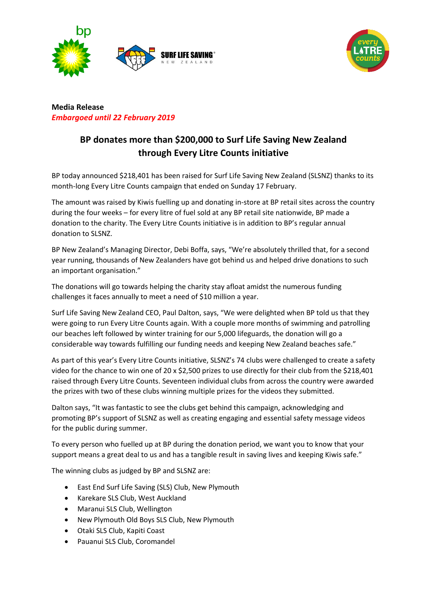



**Media Release** *Embargoed until 22 February 2019*

# **BP donates more than \$200,000 to Surf Life Saving New Zealand through Every Litre Counts initiative**

BP today announced \$218,401 has been raised for Surf Life Saving New Zealand (SLSNZ) thanks to its month-long Every Litre Counts campaign that ended on Sunday 17 February.

The amount was raised by Kiwis fuelling up and donating in-store at BP retail sites across the country during the four weeks – for every litre of fuel sold at any BP retail site nationwide, BP made a donation to the charity. The Every Litre Counts initiative is in addition to BP's regular annual donation to SLSNZ.

BP New Zealand's Managing Director, Debi Boffa, says, "We're absolutely thrilled that, for a second year running, thousands of New Zealanders have got behind us and helped drive donations to such an important organisation."

The donations will go towards helping the charity stay afloat amidst the numerous funding challenges it faces annually to meet a need of \$10 million a year.

Surf Life Saving New Zealand CEO, Paul Dalton, says, "We were delighted when BP told us that they were going to run Every Litre Counts again. With a couple more months of swimming and patrolling our beaches left followed by winter training for our 5,000 lifeguards, the donation will go a considerable way towards fulfilling our funding needs and keeping New Zealand beaches safe."

As part of this year's Every Litre Counts initiative, SLSNZ's 74 clubs were challenged to create a safety video for the chance to win one of 20 x \$2,500 prizes to use directly for their club from the \$218,401 raised through Every Litre Counts. Seventeen individual clubs from across the country were awarded the prizes with two of these clubs winning multiple prizes for the videos they submitted.

Dalton says, "It was fantastic to see the clubs get behind this campaign, acknowledging and promoting BP's support of SLSNZ as well as creating engaging and essential safety message videos for the public during summer.

To every person who fuelled up at BP during the donation period, we want you to know that your support means a great deal to us and has a tangible result in saving lives and keeping Kiwis safe."

The winning clubs as judged by BP and SLSNZ are:

- East End Surf Life Saving (SLS) Club, New Plymouth
- Karekare SLS Club, West Auckland
- Maranui SLS Club, Wellington
- New Plymouth Old Boys SLS Club, New Plymouth
- Otaki SLS Club, Kapiti Coast
- Pauanui SLS Club, Coromandel